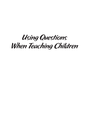# Using Questions When Teaching Children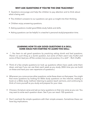# **WHY ASK QUESTIONS IF YOU'RE THE ONE TEACHING?**

- Questions encourage and help the children to pay attention and to think about what is being said.
- The children's answers to our questions can give us insight into their thinking.
- Children enjoy answering questions.
- Asking questions model good Bible study habits and skills.
- Asking questions can be helpful in a teacher's personal study/preparation time.

# **LEARNING HOW TO ASK GOOD QUESTIONS IS A SKILL. SOME IDEAS FOR STARTING TO LEARN THIS SKILL:**

- *"…You learn to ask good questions by practicing asking dumb and bad questions. There's no such thing as a dumb question, but some of them aren't very fruitful and*  some of them lead you off the context, but you just practice, it's a skill." - Rich Chaffin
- Think of a few simple questions (or look up questions others have used), write them down, and see if you can use them each week as you study. (With time you can build on these and have your own repertoire of questions.)
- Whenever you come across other questions, write these down on that paper. You might find more questions by looking for Bible study questions on the internet, reading a book on a Bible study method, listening to pastors teach sermons, and continuing to think of more yourself as you study and prepare for your class.
- Choose a Scripture verse and ask as many questions on that one verse as you can. You may want to write each question down. See if you can reach 100 questions.
- Don't overlook the simple questions with their simple answers. Sometimes these can have big implications.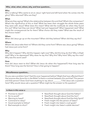### **Who, what, when, where, why, and how questions...**

### **Who:**

Who is talking? Who wants to sit on Jesus' right hand and left hand when He comes into His glory? Who returned? Who are they?

# **What:**

What are they saying? What's the relationship between this and that? What's the comparison? What's the significance of this or that? What has been their struggle the whole three years they were with Jesus? What does this mean? What did the multitude do when they found this out? What had they just done? What had just happened? What happened next? What might the consequences be for them? What choice did they make? What was the result of the choice made?

### **When:**

When did Jesus go up on the mountain? When did they believe? When did they say this?

### **Where:**

Where did Jesus take them to? Where did they come from? Where was Jesus going? Where had Jesus just come from?

### **Why:**

Why did it happen? Why did this happen right now? Why did this king do this? Why is Elijah mad? Why is he depressed? Why does he say this? Why this? Why here? Why say this now? Why was this word used?

#### **How:**

How did Jesus react to this? (What did Jesus do when this happened?) How long was he there? How long was the famine? How is that going to happen?

#### **Miscellaneous questions...**

Do you see a problem here? Had this ever happened before? Might that have affected them? Has anyone else done this in the Bible? Is there a contrast between this and that? This person and that person? Does God have anything to say about 2011 2012 Pid Jesus ask a question here? Why would Jesus ask a question? What might be the answer to His question?

#### *Is there in this verse a:*

- Promise to claim?
- Sin to avoid?
- Warning to heed?
- Command to obey?
- Good example to follow?
- Bad example to shun?
- New/fresh thought about God the Father?
- New/fresh thought about God the Son?
- New/fresh thought about God the Holy Spirit?
- Fresh insight into the person of Satan?
- Fresh insight into Satan's cruel goals?
- Fresh insight into Satan's subtle devices?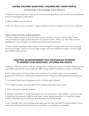# **ASKING** *CHILDREN* **QUESTIONS: CHILDREN ARE** *YOUNG* **PEOPLE.**

#### Communicate in the language of your listeners.

- Children lack vocabulary. If we're not communicating to them with words they understand, they're not going to understand.
- Many children are very literal.
- Aim for clarity in your questions. Vague questions aren't as helpful and can be confusing.

# *Open-ended and close-ended questions:*

• Close-ended questions tend to have a yes/no answer or a one-word answer. These can be helpful to open up the channels of communication. These can also help to build confidence in the children to continue answering your questions.

• Open-ended questions often require more thought to answer, and more than a simple one-word answer. These can encourage longer and more detailed answers, and thus get the children talking more.

# **CREATING AN ENVIRONMENT THAT ENCOURAGES STUDENTS TO ANSWER YOUR QUESTIONS: CHILDREN ARE** *PEOPLE.*

Treating a child as a person will go a long way in making an impact on them! Realizing and remembering that they are people will affect many aspects of how we interact with them.

- Our responses to wrong answers are important. If a student gives a wrong answer, protect the child from unnecessary embarrassment. Respond with kindness and sensitivity.
- Consistently give encouragement when children give answers.
- Do I listen to them, actively listen? Am I valuing what they have to say?
- Don't interrupt students' answers.

• Ask your questions in a way that shows you are interested in the children's answers and in studying the passage together with them. Avoid asking questions in a way that makes children feel that they are taking a test, that they are being tested.

• Am I friendly? Do I avoid stressing the kids out? Do they feel like I'm testing them? Try to make the teaching time/discussion as much like a conversation as possible.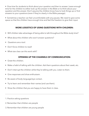• Give time for students to think about your question and then to answer. Leave enough time for the children to either look up the answer in the Bible or to think about your question and the answer. Don't assume the children know how to look things up or find answers to your questions (even if they're clearly in the Bible passage).

• Sometimes a teacher can feel uncomfortable with any pauses. We need to give some space so that the children have enough time and feel the freedom to give their input.

# **MORE LOGISTICS OF USING QUESTIONS WITH CHILDREN:**

- Will children take advantage of being able to talk throughout the Bible study time?
- What about the children who won't answer questions?
- Questions are a tool.
- Don't force children to read!
- What size class can this work with?

# **OPENING UP THE CHANNELS OF COMMUNICATION:**

- Greet the children.
- Make a habit of talking with the children. Ask them questions about their week, etc.
- Don't interrupt the children while they're talking with you. Listen to them.
- Give responses and show enthusiasm.
- Be aware of body language/eye contact.
- Try to learn and remember their names (and use them).
- Show the children that you are happy to have them in class.
- 1. *Practice* asking questions
- 2. Remember that children are *people*
- 3. Remember that children are *young* people